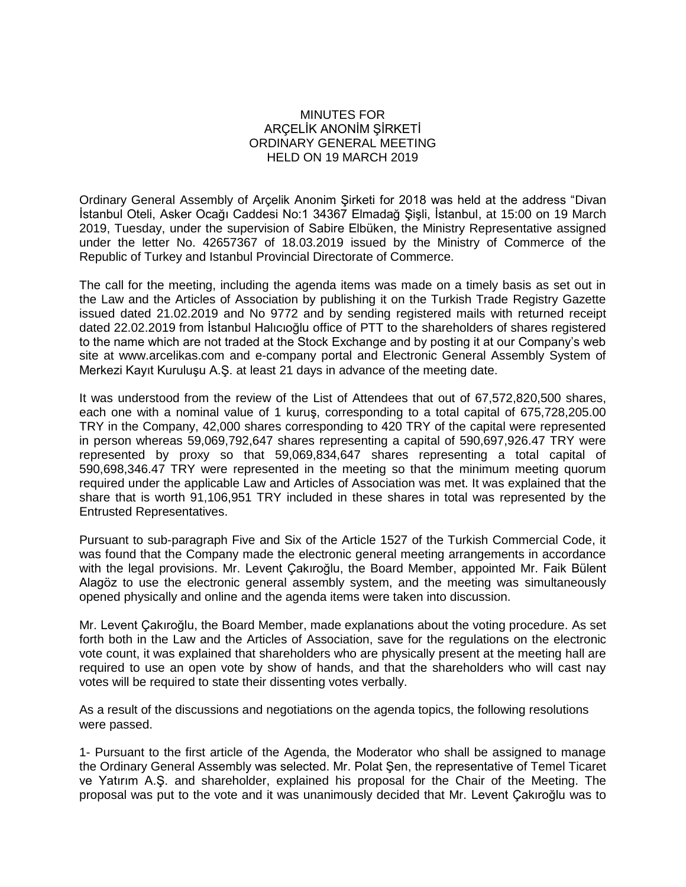## MINUTES FOR ARÇELİK ANONİM ŞİRKETİ ORDINARY GENERAL MEETING HELD ON 19 MARCH 2019

Ordinary General Assembly of Arçelik Anonim Şirketi for 2018 was held at the address "Divan İstanbul Oteli, Asker Ocağı Caddesi No:1 34367 Elmadağ Şişli, İstanbul, at 15:00 on 19 March 2019, Tuesday, under the supervision of Sabire Elbüken, the Ministry Representative assigned under the letter No. 42657367 of 18.03.2019 issued by the Ministry of Commerce of the Republic of Turkey and Istanbul Provincial Directorate of Commerce.

The call for the meeting, including the agenda items was made on a timely basis as set out in the Law and the Articles of Association by publishing it on the Turkish Trade Registry Gazette issued dated 21.02.2019 and No 9772 and by sending registered mails with returned receipt dated 22.02.2019 from İstanbul Halıcıoğlu office of PTT to the shareholders of shares registered to the name which are not traded at the Stock Exchange and by posting it at our Company's web site at [www.arcelikas.com](http://www.arcelikas.com/) and e-company portal and Electronic General Assembly System of Merkezi Kayıt Kuruluşu A.Ş. at least 21 days in advance of the meeting date.

It was understood from the review of the List of Attendees that out of 67,572,820,500 shares, each one with a nominal value of 1 kuruş, corresponding to a total capital of 675,728,205.00 TRY in the Company, 42,000 shares corresponding to 420 TRY of the capital were represented in person whereas 59,069,792,647 shares representing a capital of 590,697,926.47 TRY were represented by proxy so that 59,069,834,647 shares representing a total capital of 590,698,346.47 TRY were represented in the meeting so that the minimum meeting quorum required under the applicable Law and Articles of Association was met. It was explained that the share that is worth 91,106,951 TRY included in these shares in total was represented by the Entrusted Representatives.

Pursuant to sub-paragraph Five and Six of the Article 1527 of the Turkish Commercial Code, it was found that the Company made the electronic general meeting arrangements in accordance with the legal provisions. Mr. Levent Çakıroğlu, the Board Member, appointed Mr. Faik Bülent Alagöz to use the electronic general assembly system, and the meeting was simultaneously opened physically and online and the agenda items were taken into discussion.

Mr. Levent Çakıroğlu, the Board Member, made explanations about the voting procedure. As set forth both in the Law and the Articles of Association, save for the regulations on the electronic vote count, it was explained that shareholders who are physically present at the meeting hall are required to use an open vote by show of hands, and that the shareholders who will cast nay votes will be required to state their dissenting votes verbally.

As a result of the discussions and negotiations on the agenda topics, the following resolutions were passed.

1- Pursuant to the first article of the Agenda, the Moderator who shall be assigned to manage the Ordinary General Assembly was selected. Mr. Polat Şen, the representative of Temel Ticaret ve Yatırım A.Ş. and shareholder, explained his proposal for the Chair of the Meeting. The proposal was put to the vote and it was unanimously decided that Mr. Levent Çakıroğlu was to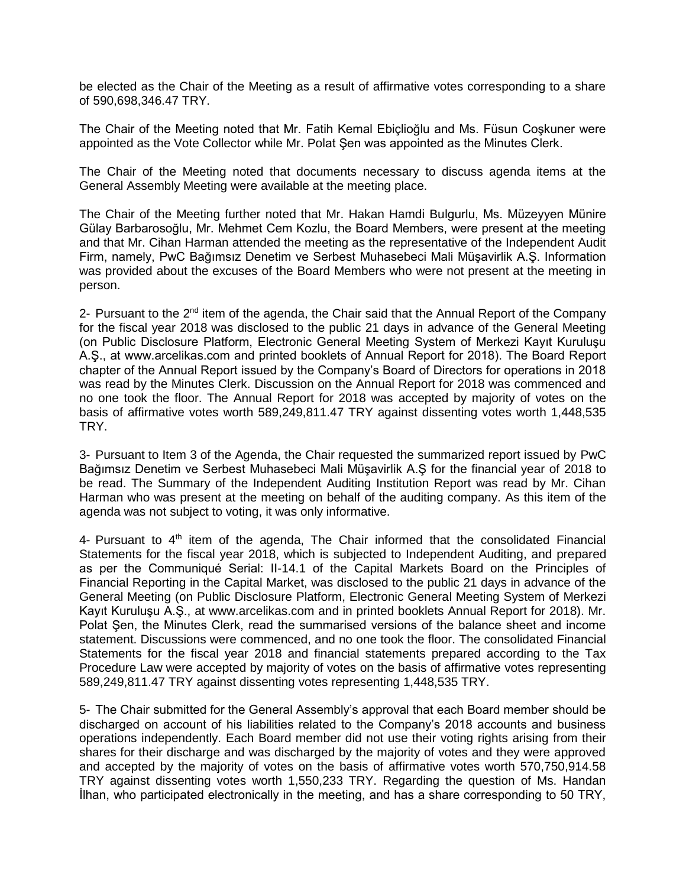be elected as the Chair of the Meeting as a result of affirmative votes corresponding to a share of 590,698,346.47 TRY.

The Chair of the Meeting noted that Mr. Fatih Kemal Ebiçlioğlu and Ms. Füsun Coşkuner were appointed as the Vote Collector while Mr. Polat Şen was appointed as the Minutes Clerk.

The Chair of the Meeting noted that documents necessary to discuss agenda items at the General Assembly Meeting were available at the meeting place.

The Chair of the Meeting further noted that Mr. Hakan Hamdi Bulgurlu, Ms. Müzeyyen Münire Gülay Barbarosoğlu, Mr. Mehmet Cem Kozlu, the Board Members, were present at the meeting and that Mr. Cihan Harman attended the meeting as the representative of the Independent Audit Firm, namely, PwC Bağımsız Denetim ve Serbest Muhasebeci Mali Müşavirlik A.Ş. Information was provided about the excuses of the Board Members who were not present at the meeting in person.

2- Pursuant to the  $2<sup>nd</sup>$  item of the agenda, the Chair said that the Annual Report of the Company for the fiscal year 2018 was disclosed to the public 21 days in advance of the General Meeting (on Public Disclosure Platform, Electronic General Meeting System of Merkezi Kayıt Kuruluşu A.Ş., at www.arcelikas.com and printed booklets of Annual Report for 2018). The Board Report chapter of the Annual Report issued by the Company's Board of Directors for operations in 2018 was read by the Minutes Clerk. Discussion on the Annual Report for 2018 was commenced and no one took the floor. The Annual Report for 2018 was accepted by majority of votes on the basis of affirmative votes worth 589,249,811.47 TRY against dissenting votes worth 1,448,535 TRY.

3- Pursuant to Item 3 of the Agenda, the Chair requested the summarized report issued by PwC Bağımsız Denetim ve Serbest Muhasebeci Mali Müşavirlik A.Ş for the financial year of 2018 to be read. The Summary of the Independent Auditing Institution Report was read by Mr. Cihan Harman who was present at the meeting on behalf of the auditing company. As this item of the agenda was not subject to voting, it was only informative.

4- Pursuant to  $4<sup>th</sup>$  item of the agenda, The Chair informed that the consolidated Financial Statements for the fiscal year 2018, which is subjected to Independent Auditing, and prepared as per the Communiqué Serial: II-14.1 of the Capital Markets Board on the Principles of Financial Reporting in the Capital Market, was disclosed to the public 21 days in advance of the General Meeting (on Public Disclosure Platform, Electronic General Meeting System of Merkezi Kayıt Kuruluşu A.Ş., at www.arcelikas.com and in printed booklets Annual Report for 2018). Mr. Polat Şen, the Minutes Clerk, read the summarised versions of the balance sheet and income statement. Discussions were commenced, and no one took the floor. The consolidated Financial Statements for the fiscal year 2018 and financial statements prepared according to the Tax Procedure Law were accepted by majority of votes on the basis of affirmative votes representing 589,249,811.47 TRY against dissenting votes representing 1,448,535 TRY.

5- The Chair submitted for the General Assembly's approval that each Board member should be discharged on account of his liabilities related to the Company's 2018 accounts and business operations independently. Each Board member did not use their voting rights arising from their shares for their discharge and was discharged by the majority of votes and they were approved and accepted by the majority of votes on the basis of affirmative votes worth 570,750,914.58 TRY against dissenting votes worth 1,550,233 TRY. Regarding the question of Ms. Handan İlhan, who participated electronically in the meeting, and has a share corresponding to 50 TRY,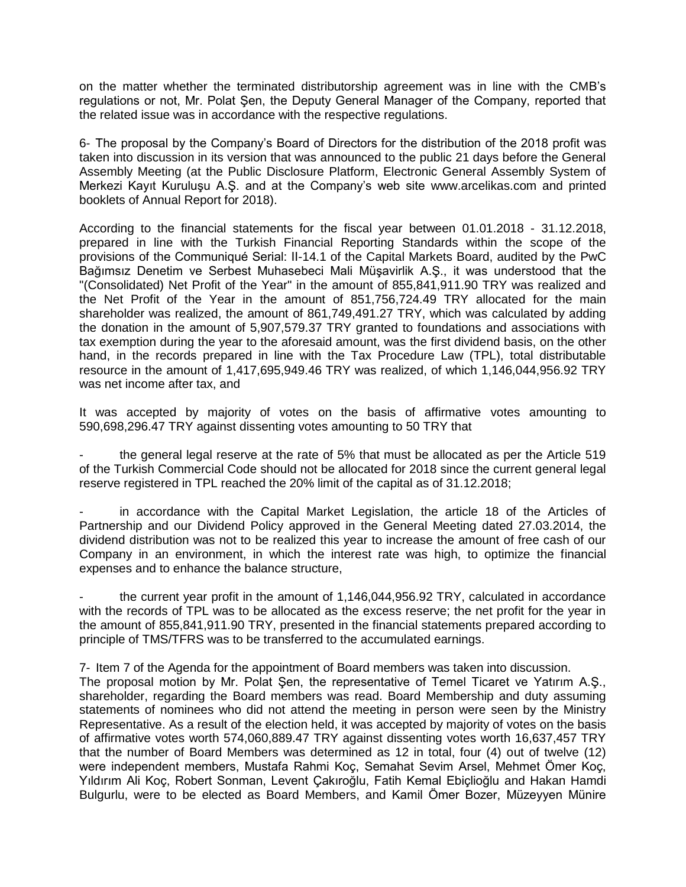on the matter whether the terminated distributorship agreement was in line with the CMB's regulations or not, Mr. Polat Şen, the Deputy General Manager of the Company, reported that the related issue was in accordance with the respective regulations.

6- The proposal by the Company's Board of Directors for the distribution of the 2018 profit was taken into discussion in its version that was announced to the public 21 days before the General Assembly Meeting (at the Public Disclosure Platform, Electronic General Assembly System of Merkezi Kayıt Kuruluşu A.Ş. and at the Company's web site www.arcelikas.com and printed booklets of Annual Report for 2018).

According to the financial statements for the fiscal year between 01.01.2018 - 31.12.2018, prepared in line with the Turkish Financial Reporting Standards within the scope of the provisions of the Communiqué Serial: II-14.1 of the Capital Markets Board, audited by the PwC Bağımsız Denetim ve Serbest Muhasebeci Mali Müşavirlik A.Ş., it was understood that the "(Consolidated) Net Profit of the Year" in the amount of 855,841,911.90 TRY was realized and the Net Profit of the Year in the amount of 851,756,724.49 TRY allocated for the main shareholder was realized, the amount of 861,749,491.27 TRY, which was calculated by adding the donation in the amount of 5,907,579.37 TRY granted to foundations and associations with tax exemption during the year to the aforesaid amount, was the first dividend basis, on the other hand, in the records prepared in line with the Tax Procedure Law (TPL), total distributable resource in the amount of 1,417,695,949.46 TRY was realized, of which 1,146,044,956.92 TRY was net income after tax, and

It was accepted by majority of votes on the basis of affirmative votes amounting to 590,698,296.47 TRY against dissenting votes amounting to 50 TRY that

the general legal reserve at the rate of 5% that must be allocated as per the Article 519 of the Turkish Commercial Code should not be allocated for 2018 since the current general legal reserve registered in TPL reached the 20% limit of the capital as of 31.12.2018;

in accordance with the Capital Market Legislation, the article 18 of the Articles of Partnership and our Dividend Policy approved in the General Meeting dated 27.03.2014, the dividend distribution was not to be realized this year to increase the amount of free cash of our Company in an environment, in which the interest rate was high, to optimize the financial expenses and to enhance the balance structure,

the current year profit in the amount of 1,146,044,956.92 TRY, calculated in accordance with the records of TPL was to be allocated as the excess reserve; the net profit for the year in the amount of 855,841,911.90 TRY, presented in the financial statements prepared according to principle of TMS/TFRS was to be transferred to the accumulated earnings.

7- Item 7 of the Agenda for the appointment of Board members was taken into discussion.

The proposal motion by Mr. Polat Şen, the representative of Temel Ticaret ve Yatırım A.Ş., shareholder, regarding the Board members was read. Board Membership and duty assuming statements of nominees who did not attend the meeting in person were seen by the Ministry Representative. As a result of the election held, it was accepted by majority of votes on the basis of affirmative votes worth 574,060,889.47 TRY against dissenting votes worth 16,637,457 TRY that the number of Board Members was determined as 12 in total, four (4) out of twelve (12) were independent members, Mustafa Rahmi Koç, Semahat Sevim Arsel, Mehmet Ömer Koç, Yıldırım Ali Koç, Robert Sonman, Levent Çakıroğlu, Fatih Kemal Ebiçlioğlu and Hakan Hamdi Bulgurlu, were to be elected as Board Members, and Kamil Ömer Bozer, Müzeyyen Münire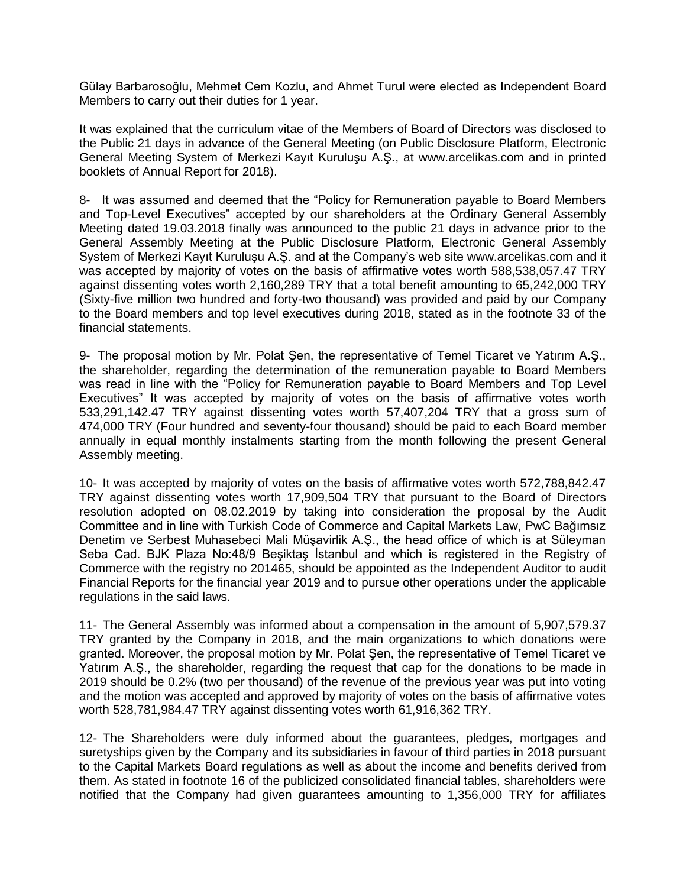Gülay Barbarosoğlu, Mehmet Cem Kozlu, and Ahmet Turul were elected as Independent Board Members to carry out their duties for 1 year.

It was explained that the curriculum vitae of the Members of Board of Directors was disclosed to the Public 21 days in advance of the General Meeting (on Public Disclosure Platform, Electronic General Meeting System of Merkezi Kayıt Kuruluşu A.Ş., at www.arcelikas.com and in printed booklets of Annual Report for 2018).

8- It was assumed and deemed that the "Policy for Remuneration payable to Board Members and Top-Level Executives" accepted by our shareholders at the Ordinary General Assembly Meeting dated 19.03.2018 finally was announced to the public 21 days in advance prior to the General Assembly Meeting at the Public Disclosure Platform, Electronic General Assembly System of Merkezi Kayıt Kuruluşu A.Ş. and at the Company's web site [www.arcelikas.com](http://www.arcelikas.com/) and it was accepted by majority of votes on the basis of affirmative votes worth 588,538,057.47 TRY against dissenting votes worth 2,160,289 TRY that a total benefit amounting to 65,242,000 TRY (Sixty-five million two hundred and forty-two thousand) was provided and paid by our Company to the Board members and top level executives during 2018, stated as in the footnote 33 of the financial statements.

9- The proposal motion by Mr. Polat Şen, the representative of Temel Ticaret ve Yatırım A.Ş., the shareholder, regarding the determination of the remuneration payable to Board Members was read in line with the "Policy for Remuneration payable to Board Members and Top Level Executives" It was accepted by majority of votes on the basis of affirmative votes worth 533,291,142.47 TRY against dissenting votes worth 57,407,204 TRY that a gross sum of 474,000 TRY (Four hundred and seventy-four thousand) should be paid to each Board member annually in equal monthly instalments starting from the month following the present General Assembly meeting.

10- It was accepted by majority of votes on the basis of affirmative votes worth 572,788,842.47 TRY against dissenting votes worth 17,909,504 TRY that pursuant to the Board of Directors resolution adopted on 08.02.2019 by taking into consideration the proposal by the Audit Committee and in line with Turkish Code of Commerce and Capital Markets Law, PwC Bağımsız Denetim ve Serbest Muhasebeci Mali Müşavirlik A.Ş., the head office of which is at Süleyman Seba Cad. BJK Plaza No:48/9 Beşiktaş İstanbul and which is registered in the Registry of Commerce with the registry no 201465, should be appointed as the Independent Auditor to audit Financial Reports for the financial year 2019 and to pursue other operations under the applicable regulations in the said laws.

11- The General Assembly was informed about a compensation in the amount of 5,907,579.37 TRY granted by the Company in 2018, and the main organizations to which donations were granted. Moreover, the proposal motion by Mr. Polat Şen, the representative of Temel Ticaret ve Yatırım A.Ş., the shareholder, regarding the request that cap for the donations to be made in 2019 should be 0.2% (two per thousand) of the revenue of the previous year was put into voting and the motion was accepted and approved by majority of votes on the basis of affirmative votes worth 528,781,984.47 TRY against dissenting votes worth 61,916,362 TRY.

12- The Shareholders were duly informed about the guarantees, pledges, mortgages and suretyships given by the Company and its subsidiaries in favour of third parties in 2018 pursuant to the Capital Markets Board regulations as well as about the income and benefits derived from them. As stated in footnote 16 of the publicized consolidated financial tables, shareholders were notified that the Company had given guarantees amounting to 1,356,000 TRY for affiliates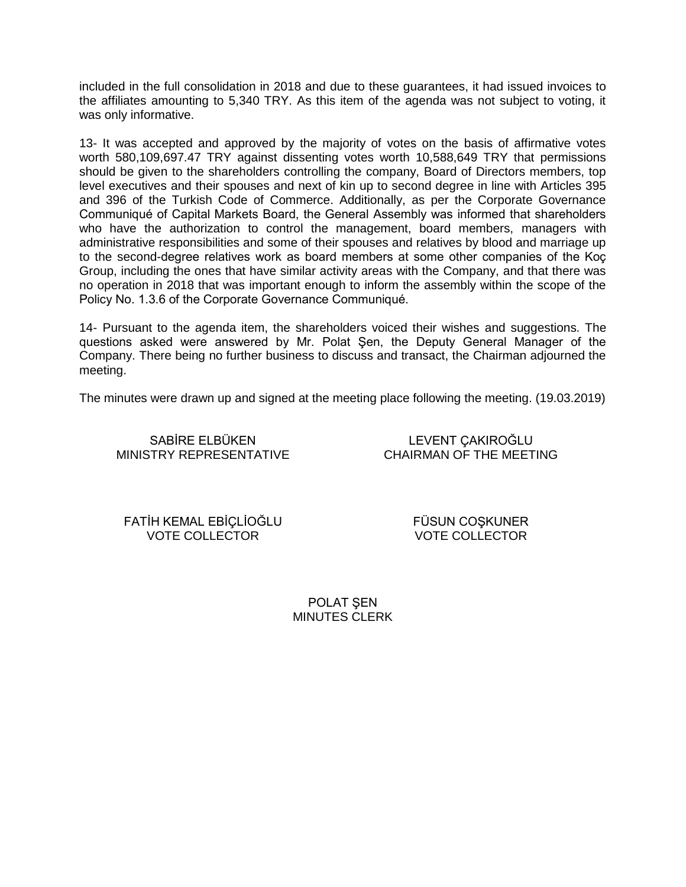included in the full consolidation in 2018 and due to these guarantees, it had issued invoices to the affiliates amounting to 5,340 TRY. As this item of the agenda was not subject to voting, it was only informative.

13- It was accepted and approved by the majority of votes on the basis of affirmative votes worth 580,109,697.47 TRY against dissenting votes worth 10,588,649 TRY that permissions should be given to the shareholders controlling the company, Board of Directors members, top level executives and their spouses and next of kin up to second degree in line with Articles 395 and 396 of the Turkish Code of Commerce. Additionally, as per the Corporate Governance Communiqué of Capital Markets Board, the General Assembly was informed that shareholders who have the authorization to control the management, board members, managers with administrative responsibilities and some of their spouses and relatives by blood and marriage up to the second-degree relatives work as board members at some other companies of the Koç Group, including the ones that have similar activity areas with the Company, and that there was no operation in 2018 that was important enough to inform the assembly within the scope of the Policy No. 1.3.6 of the Corporate Governance Communiqué.

14- Pursuant to the agenda item, the shareholders voiced their wishes and suggestions. The questions asked were answered by Mr. Polat Şen, the Deputy General Manager of the Company. There being no further business to discuss and transact, the Chairman adjourned the meeting.

The minutes were drawn up and signed at the meeting place following the meeting. (19.03.2019)

SABİRE ELBÜKEN MINISTRY REPRESENTATIVE

LEVENT ÇAKIROĞLU CHAIRMAN OF THE MEETING

FATİH KEMAL EBİÇLİOĞLU VOTE COLLECTOR

FÜSUN COŞKUNER VOTE COLLECTOR

POLAT ŞEN MINUTES CLERK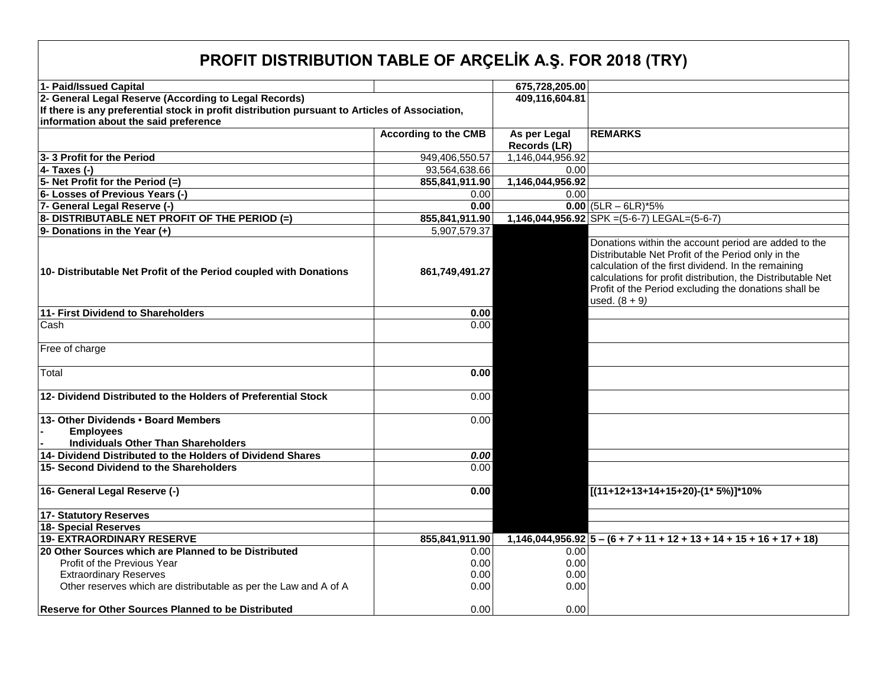## **PROFIT DISTRIBUTION TABLE OF ARÇELİK A.Ş. FOR 2018 (TRY)**

| 1- Paid/Issued Capital                                                                                   |                             | 675,728,205.00   |                                                                                                                                                                                                                                                                                                              |  |  |  |  |  |
|----------------------------------------------------------------------------------------------------------|-----------------------------|------------------|--------------------------------------------------------------------------------------------------------------------------------------------------------------------------------------------------------------------------------------------------------------------------------------------------------------|--|--|--|--|--|
| 2- General Legal Reserve (According to Legal Records)                                                    | 409,116,604.81              |                  |                                                                                                                                                                                                                                                                                                              |  |  |  |  |  |
| If there is any preferential stock in profit distribution pursuant to Articles of Association,           |                             |                  |                                                                                                                                                                                                                                                                                                              |  |  |  |  |  |
| information about the said preference                                                                    |                             |                  |                                                                                                                                                                                                                                                                                                              |  |  |  |  |  |
|                                                                                                          | <b>According to the CMB</b> | As per Legal     | <b>REMARKS</b>                                                                                                                                                                                                                                                                                               |  |  |  |  |  |
|                                                                                                          |                             | Records (LR)     |                                                                                                                                                                                                                                                                                                              |  |  |  |  |  |
| 3-3 Profit for the Period                                                                                | 949,406,550.57              | 1,146,044,956.92 |                                                                                                                                                                                                                                                                                                              |  |  |  |  |  |
| $4 - Taxes (-)$                                                                                          | 93,564,638.66               | 0.00             |                                                                                                                                                                                                                                                                                                              |  |  |  |  |  |
| 5- Net Profit for the Period (=)                                                                         | 855,841,911.90              | 1,146,044,956.92 |                                                                                                                                                                                                                                                                                                              |  |  |  |  |  |
| 6- Losses of Previous Years (-)                                                                          | 0.00                        | 0.00             |                                                                                                                                                                                                                                                                                                              |  |  |  |  |  |
| 7- General Legal Reserve (-)                                                                             | 0.00                        |                  | $0.00$ (5LR – 6LR)*5%                                                                                                                                                                                                                                                                                        |  |  |  |  |  |
| 8- DISTRIBUTABLE NET PROFIT OF THE PERIOD (=)                                                            | 855,841,911.90              |                  | 1,146,044,956.92 SPK = (5-6-7) LEGAL= (5-6-7)                                                                                                                                                                                                                                                                |  |  |  |  |  |
| 9- Donations in the Year (+)                                                                             | 5,907,579.37                |                  |                                                                                                                                                                                                                                                                                                              |  |  |  |  |  |
| 10- Distributable Net Profit of the Period coupled with Donations                                        | 861,749,491.27              |                  | Donations within the account period are added to the<br>Distributable Net Profit of the Period only in the<br>calculation of the first dividend. In the remaining<br>calculations for profit distribution, the Distributable Net<br>Profit of the Period excluding the donations shall be<br>used. $(8 + 9)$ |  |  |  |  |  |
| 11- First Dividend to Shareholders                                                                       | 0.00                        |                  |                                                                                                                                                                                                                                                                                                              |  |  |  |  |  |
| Cash                                                                                                     | 0.00                        |                  |                                                                                                                                                                                                                                                                                                              |  |  |  |  |  |
| Free of charge                                                                                           |                             |                  |                                                                                                                                                                                                                                                                                                              |  |  |  |  |  |
| Total                                                                                                    | 0.00                        |                  |                                                                                                                                                                                                                                                                                                              |  |  |  |  |  |
| 12- Dividend Distributed to the Holders of Preferential Stock                                            | 0.00                        |                  |                                                                                                                                                                                                                                                                                                              |  |  |  |  |  |
| 13- Other Dividends . Board Members                                                                      | 0.00                        |                  |                                                                                                                                                                                                                                                                                                              |  |  |  |  |  |
| <b>Employees</b>                                                                                         |                             |                  |                                                                                                                                                                                                                                                                                                              |  |  |  |  |  |
| <b>Individuals Other Than Shareholders</b><br>14- Dividend Distributed to the Holders of Dividend Shares |                             |                  |                                                                                                                                                                                                                                                                                                              |  |  |  |  |  |
| 15- Second Dividend to the Shareholders                                                                  | 0.00<br>0.00                |                  |                                                                                                                                                                                                                                                                                                              |  |  |  |  |  |
|                                                                                                          |                             |                  |                                                                                                                                                                                                                                                                                                              |  |  |  |  |  |
| 16- General Legal Reserve (-)                                                                            | 0.00                        |                  | $[(11+12+13+14+15+20)-(1*5%)$ <sup>*</sup> 10%                                                                                                                                                                                                                                                               |  |  |  |  |  |
| <b>17- Statutory Reserves</b>                                                                            |                             |                  |                                                                                                                                                                                                                                                                                                              |  |  |  |  |  |
| <b>18- Special Reserves</b>                                                                              |                             |                  |                                                                                                                                                                                                                                                                                                              |  |  |  |  |  |
| <b>19- EXTRAORDINARY RESERVE</b>                                                                         | 855,841,911.90              |                  | $1,146,044,956.92$ $5 - (6 + 7 + 11 + 12 + 13 + 14 + 15 + 16 + 17 + 18)$                                                                                                                                                                                                                                     |  |  |  |  |  |
| 20 Other Sources which are Planned to be Distributed                                                     | 0.00                        | 0.00             |                                                                                                                                                                                                                                                                                                              |  |  |  |  |  |
| Profit of the Previous Year                                                                              | 0.00                        | 0.00             |                                                                                                                                                                                                                                                                                                              |  |  |  |  |  |
| <b>Extraordinary Reserves</b>                                                                            | 0.00                        | 0.00             |                                                                                                                                                                                                                                                                                                              |  |  |  |  |  |
| Other reserves which are distributable as per the Law and A of A                                         | 0.00                        | 0.00             |                                                                                                                                                                                                                                                                                                              |  |  |  |  |  |
|                                                                                                          |                             |                  |                                                                                                                                                                                                                                                                                                              |  |  |  |  |  |
| <b>Reserve for Other Sources Planned to be Distributed</b>                                               | 0.00                        | 0.00             |                                                                                                                                                                                                                                                                                                              |  |  |  |  |  |